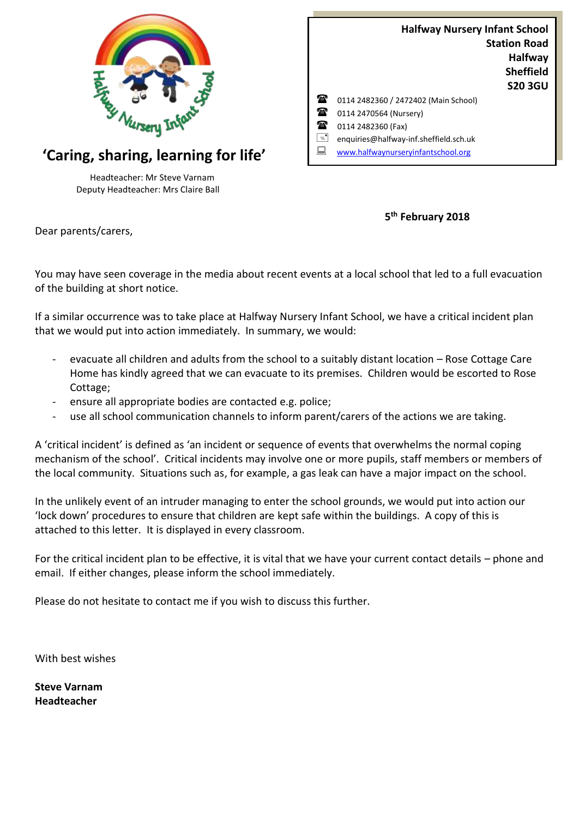

## **'Caring, sharing, learning for life'**

Headteacher: Mr Steve Varnam Deputy Headteacher: Mrs Claire Ball

|    | <b>Halfway Nursery Infant School</b>   |                     |
|----|----------------------------------------|---------------------|
|    |                                        | <b>Station Road</b> |
|    |                                        | <b>Halfway</b>      |
|    |                                        | <b>Sheffield</b>    |
|    |                                        | <b>S20 3GU</b>      |
| Ŧ  | 0114 2482360 / 2472402 (Main School)   |                     |
| t  | 0114 2470564 (Nursery)                 |                     |
| t  | 0114 2482360 (Fax)                     |                     |
| R  | enquiries@halfway-inf.sheffield.sch.uk |                     |
| '≂ | www.halfwaynurseryinfantschool.org     |                     |

**5 th February 2018**

Dear parents/carers,

You may have seen coverage in the media about recent events at a local school that led to a full evacuation of the building at short notice.

If a similar occurrence was to take place at Halfway Nursery Infant School, we have a critical incident plan that we would put into action immediately. In summary, we would:

- evacuate all children and adults from the school to a suitably distant location Rose Cottage Care Home has kindly agreed that we can evacuate to its premises. Children would be escorted to Rose Cottage;
- ensure all appropriate bodies are contacted e.g. police;
- use all school communication channels to inform parent/carers of the actions we are taking.

A 'critical incident' is defined as 'an incident or sequence of events that overwhelms the normal coping mechanism of the school'. Critical incidents may involve one or more pupils, staff members or members of the local community. Situations such as, for example, a gas leak can have a major impact on the school.

In the unlikely event of an intruder managing to enter the school grounds, we would put into action our 'lock down' procedures to ensure that children are kept safe within the buildings. A copy of this is attached to this letter. It is displayed in every classroom.

For the critical incident plan to be effective, it is vital that we have your current contact details – phone and email. If either changes, please inform the school immediately.

Please do not hesitate to contact me if you wish to discuss this further.

With best wishes

**Steve Varnam Headteacher**